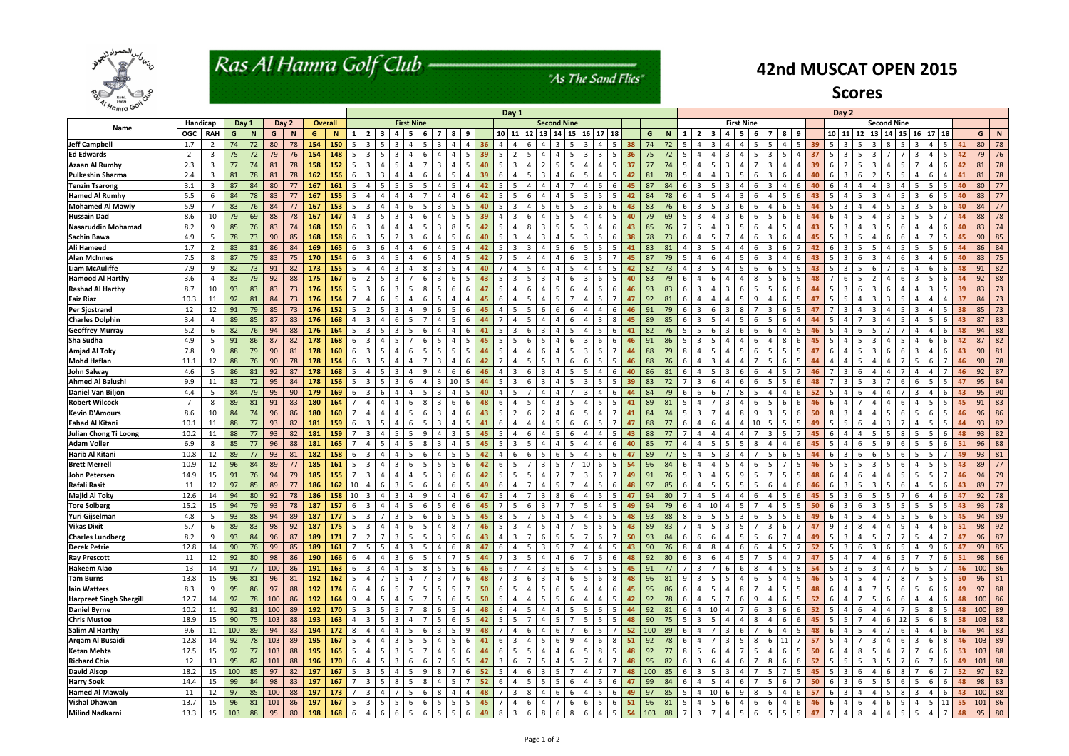

# Ras Al Hamra Golf Club -

"As The Sand Flies"

| 4/Hamra Golf                   |                   |                         |     |    |     |            |        |                | Day 1             |                                  |                          |                                                                                          |                   |                |                      |                      |                          |                             |                         |                                  |                          |                   |                      |     |        |                 |                           |                                |                                  |                | Day 2                             |                    |                |                                   |                |                |                                    |                  |     |    |               |    |
|--------------------------------|-------------------|-------------------------|-----|----|-----|------------|--------|----------------|-------------------|----------------------------------|--------------------------|------------------------------------------------------------------------------------------|-------------------|----------------|----------------------|----------------------|--------------------------|-----------------------------|-------------------------|----------------------------------|--------------------------|-------------------|----------------------|-----|--------|-----------------|---------------------------|--------------------------------|----------------------------------|----------------|-----------------------------------|--------------------|----------------|-----------------------------------|----------------|----------------|------------------------------------|------------------|-----|----|---------------|----|
|                                | Handicap<br>Day 1 |                         |     |    |     |            |        | <b>Overall</b> | <b>First Nine</b> |                                  |                          |                                                                                          |                   |                |                      |                      | <b>Second Nine</b>       |                             |                         |                                  |                          |                   |                      |     |        |                 |                           |                                |                                  |                |                                   | <b>Second Nine</b> |                |                                   |                |                |                                    |                  |     |    |               |    |
| Name                           | OGC RAH           |                         | G   | N  | G   | Day 2<br>N | G      | $\mathbf N$    |                   | $\overline{2}$<br>-3             | 4                        | 6<br>-5.                                                                                 |                   | 8              | 9                    |                      | 10 11                    | 12 <sup>1</sup>             | 13 <sup>1</sup>         | 14<br>15                         | $16$ 17                  |                   | 18                   | G   | N.     | -1              | $\overline{2}$            | 4                              | <b>First Nine</b><br>-5<br>-6    |                | 8<br>-9                           |                    |                | $10$   11 <br>12                  | 13             | 14 I           | 15 <sup>1</sup><br>16 <sup>1</sup> | $17$   18        |     |    | G             | N  |
| Jeff Campbell                  | 1.7               | $\overline{2}$          | 74  | 72 | 80  | 78         | 154    | 150            |                   | 3                                | 3                        |                                                                                          |                   |                |                      |                      |                          |                             |                         |                                  |                          |                   |                      | 74  | 72     | -5              | $\overline{4}$            |                                |                                  |                |                                   |                    |                |                                   |                |                |                                    |                  |     | 41 | 80            | 78 |
| <b>Ed Edwards</b>              | 2                 | $\overline{\mathbf{3}}$ | 75  | 72 | 79  | 76         | 154    | 148            | -5                | $\overline{3}$<br>-5             | 3                        | 6<br>4                                                                                   | -4                | $\overline{a}$ | .5.<br>39            | 5                    | $\overline{2}$           | -5                          | Δ                       | $\mathbf 4$                      | -3                       |                   | .5<br>36             | 75  | 72     | -5              | $\boldsymbol{\varDelta}$  | 3<br>4                         | -5                               |                | 5.                                | 37                 | -5             | 5.                                | -3             |                | 3                                  |                  |     | 42 | 79            | 76 |
| <b>Azaan Al Rumhy</b>          | 2.3               | $\overline{3}$          | 77  | 74 | 81  | 78         | 158    | 152            | -5                | 3<br>$\overline{a}$              | -5                       | $\overline{7}$<br>$\overline{a}$                                                         | $\overline{3}$    | $\overline{4}$ | .5.<br>40            | 5                    | $\overline{3}$           | 4                           |                         | 5.                               | $\boldsymbol{\Delta}$    | $\Delta$          | 5<br>37              | 77  | 74     | -5              | $\overline{a}$            | 3<br>4                         | 7                                | -3             | 4                                 | 39                 | -6             | 5                                 | 3              | $\mathbf 4$    | 5.<br>7                            |                  | 6   | 42 | 81            | 78 |
| <b>Pulkeshin Sharma</b>        | 2.4               | $\overline{3}$          | 81  | 78 | 81  | 78         | 162    | 156            | -6                | 3<br>-3                          | $\boldsymbol{\varDelta}$ | 6<br>$\overline{a}$                                                                      | 4                 | -5             | 39<br>4              | 6                    | 4                        | -5                          | ्र                      | 4                                | -5                       | $\Delta$          | .5<br>42             | 81  | 78     | - 5             | 4                         | 3<br>-5                        | -6                               |                | 6                                 | 40                 |                | 6                                 |                |                | $\overline{a}$                     | -6               |     | 41 | 81            | 78 |
| <b>Tenzin Tsarong</b>          | 3.1               | $\overline{3}$          | 87  | 84 | 80  | 77         | 167    | 161            | -5                | $\overline{4}$<br>-5             | -5                       | 5                                                                                        | 4                 |                |                      | 5.                   | -5                       | $\boldsymbol{\vartriangle}$ |                         | $\mathbf 4$                      | Δ                        | 6                 | 6<br>45              | 87  | 84     | -6              | -3                        | 3<br>4                         | -6                               |                | $\mathbf 4$                       | 40                 |                | $\Delta$                          |                |                | 5                                  |                  |     | 40 | 80            | 77 |
| <b>Hamed Al Rumhy</b>          | 5.5               | -6                      | 84  | 78 | 83  | 77         | 167    | 155            |                   | 4                                |                          |                                                                                          |                   |                |                      | 5.                   | -5                       | - რ                         |                         | 4                                | -3                       |                   | .5                   | 84  | 78     | -6              | -4                        | $\mathbf 4$<br>-3              | - რ                              |                | 5                                 |                    |                | 5                                 |                |                |                                    |                  |     | 40 | 83            | 77 |
| <b>Mohamed Al Mawly</b>        | 5.9               |                         | 83  | 76 | 84  | 77         | 167    | 153            |                   | 3                                |                          |                                                                                          |                   |                |                      | 5                    | -3                       |                             |                         |                                  |                          |                   | 6<br>43              | 83  | 76     | -6              | 3                         |                                |                                  |                |                                   |                    |                |                                   |                |                |                                    |                  |     | 40 | 84            | 77 |
| <b>Hussain Dad</b>             | 8.6               | 10                      | 79  | 69 | 88  | 78         | 167    | 147            |                   | 3                                |                          |                                                                                          |                   |                |                      |                      |                          |                             |                         |                                  |                          |                   |                      | 79  | 69     |                 |                           |                                |                                  |                |                                   |                    |                |                                   |                |                |                                    |                  |     | 44 | 88            | 78 |
| Nasaruddin Mohamad             | 8.2               | -9                      | 85  | 76 | 83  | 74         | 168    | 150            | 6                 | 3                                |                          | 5.                                                                                       | -3                | 8              | 42                   | 5                    | 4                        | -8                          |                         | 5.                               |                          |                   | 43<br>6              | 85  | 76     |                 | -5                        | 3<br>-5                        | -6                               |                | 5.                                |                    |                | 4                                 |                |                | Δ                                  |                  |     | 40 | 83            | 74 |
| Sachin Bawa                    | 4.9               | -5                      | 78  | 73 | 90  | 85         | 168    | 158            |                   | 3<br>-5                          |                          | 6                                                                                        |                   | -5             | 40<br>6              | 5                    | 3                        | 4                           |                         | 4                                | -3                       |                   | 38<br>6              | 78  | 73     | -6              | -4                        | 4                              | -6                               |                | 6                                 | 45                 |                | 5                                 | -4             | - 6            | 4                                  |                  |     | 45 | 90            | 85 |
| Ali Hameed                     | 1.7               | $\overline{2}$          | 83  | 81 | 86  | 84         | 169    | 165            | 6                 | 3<br>-6                          | 4                        | 6                                                                                        | 4                 | -5             | 42<br>4              | 5                    | $\overline{3}$           | -3                          | 4                       | 5<br>-6                          |                          | .5                | .5                   | 83  | 81     | 4               | 3                         | 4<br>-4                        | -6                               | 3              | 6                                 | 42                 | -6             | 5.                                |                | 4              | .5                                 | -5               |     | 44 | 86            | 84 |
| <b>Alan McInnes</b>            | 7.5               | 8                       | 87  | 79 | 83  | 75         | 170    | 154            | -6                | 3<br>$\overline{a}$              | -5                       | -6<br>$\overline{a}$                                                                     | -5                | 4              |                      | 7<br>42              | -5                       | 4                           | $\Delta$                | 4<br>-6                          | -3                       | .5                | 45                   | 87  | 79     | -5              | $\overline{4}$            | 4<br>-5                        | -6                               |                | 4                                 | 43                 |                | 6                                 | -3             | 4              | 3<br>6                             | -4               | . რ | 40 | 83            | 75 |
| Liam McAuliffe                 | 7.9               | 9                       | 82  | 73 | 91  | 82         | 173    | 155            | -5                | 4                                | 3                        | 8                                                                                        | -3                | - 5            | 40                   |                      | 4                        | -5                          |                         | -5<br>4                          | 4                        |                   | 5<br>42              | 82  | 73     | $\overline{a}$  | $\overline{\mathbf{3}}$   | -5<br>4                        | -6                               |                | 5                                 | 43                 | -5             | 5.                                | - 6            |                | 6<br>4                             | -6               |     | 48 | 91            | 82 |
| <b>Hamood Al Harthy</b>        | 3.6               | $\overline{a}$          | 83  | 79 | 92  | 88         | 175    | 167            |                   | $\mathcal{P}$                    |                          | 6                                                                                        | -3                |                | 43                   | 5                    | -3                       | -5                          |                         | $\mathbf 4$                      |                          |                   | 5<br>40              | 83  | 79     | -6              | $\boldsymbol{\varDelta}$  | Δ                              |                                  |                | 6                                 |                    |                | 5                                 |                |                | 3                                  |                  |     | 44 | 92            | 88 |
| <b>Rashad Al Harthy</b>        | 8.7               | 10                      | 93  | 83 | 83  | 73         | 176    | 156            |                   | 3<br>-6                          |                          | 8                                                                                        | -5                | -6             | -47                  | 5                    | 4                        | -6                          | Δ                       | 5                                | Δ                        | 6                 | 6<br>46              | 93  | 83     | -6              | -3                        | 3<br>-6                        |                                  |                | 6                                 |                    |                | 6                                 |                |                | $\overline{4}$                     | -3               |     | 39 | 83            | 73 |
| <b>Faiz Riaz</b>               | 10.3              | 11                      | 92  | 81 | 84  | 73         | 176    | 154            |                   | $\overline{a}$<br>-6             |                          | 6                                                                                        | -5                |                | 45                   | 6                    | 4                        | -5                          |                         | 5.                               | 4                        | -5                | 47                   | 92  | 81     | -6              | 4                         | 4<br>-5                        | ٠q                               |                | 6                                 |                    |                | 4                                 | -3             | -3             | 4                                  |                  |     | 37 | 84            | 73 |
| Per Sjostrand                  | 12                | 12                      | 91  | 79 | 85  | 73         | 176    | 152            |                   | $\overline{2}$<br>-5             | 3                        | 9                                                                                        | - 6               | -5             | 6                    | 4                    | -5                       | -5                          | 6                       | 6                                |                          | $\Delta$          | 6                    | 91  | 79     | -6              | -3                        | 3<br>-8                        |                                  |                | 6                                 |                    |                | 4                                 | -3             | 4              | 3                                  |                  |     | 38 | 85            | 73 |
| <b>Charles Dolphin</b>         | 3.4               | $\overline{4}$          | 89  | 85 | 87  | 83         | 176    | 168            |                   | 3                                | -6                       |                                                                                          |                   | -5             | 6                    |                      | 4                        |                             |                         | $\Delta$                         | 4                        | 3                 | 8                    | 89  | 85     | -6              | -3                        | 4                              | -6                               |                | 6                                 |                    | 5              |                                   |                |                | $\overline{4}$                     |                  |     | 43 | 87            | 83 |
| <b>Geoffrey Murray</b>         | 5.2               | 6                       | 82  | 76 | 94  | 88         | 176    | 164            |                   | 3<br>-5                          | -3                       | 6                                                                                        | 4                 | Δ              |                      | 5                    | -3                       | -6                          |                         | 4                                | 4                        |                   | 6                    | 82  | 76     | -5              | -5                        | 3<br>-6                        | -6                               |                | 4                                 |                    |                | 6                                 |                |                | $\overline{4}$                     |                  |     | 48 | 94            | 88 |
| Sha Sudha                      | 4.9               | -5                      | 91  | 86 | 87  | 82         | 178    | 168            |                   | 3                                |                          |                                                                                          |                   |                |                      | 5                    |                          |                             |                         |                                  |                          |                   | 6<br>46              | 91  | 86     | -5              | -3                        |                                |                                  |                | 8                                 |                    |                |                                   |                |                |                                    |                  |     | 42 | 87            | 82 |
| Amjad Al Toky                  | 7.8               | - q                     | 88  | 79 | 90  | 81         | 178    | 160            |                   | 3                                |                          |                                                                                          |                   |                |                      | 5.                   |                          |                             |                         |                                  |                          |                   |                      | 88  | 79     | -8              | $\Delta$                  |                                |                                  |                | 5                                 |                    |                |                                   |                |                |                                    |                  |     | 43 | 90            | 81 |
| <b>Mohd Haflan</b>             | 11.1              | 12                      | 88  | 76 | 90  | 78         | 178    | 154            | 6                 | 3                                |                          |                                                                                          | ્વ                | Δ              |                      | 7                    |                          |                             |                         | 3                                |                          | 5                 | .5<br>46             | 88  | 76     | -6              | $\Delta$                  | Δ<br>Δ                         |                                  |                | 6                                 |                    |                | 5.                                |                |                | -5                                 | -6               |     | 46 | 90            | 78 |
| John Salway                    | 4.6               | 5                       | 86  | 81 | 92  | 87         | 178    | 168            |                   | 4                                |                          | q                                                                                        |                   | h              | 6                    | 4                    | -3                       | - რ                         |                         | 4                                |                          |                   | 40<br>6              | 86  | 81     | -6              | 4                         | 3<br>-6                        |                                  |                | 5                                 |                    |                | 6                                 |                |                | 4                                  |                  |     | 46 | 92            | 87 |
| <b>Ahmed Al Balushi</b>        | 9.9               | 11                      | 83  | 72 | 95  | 84         | 178    | 156            | -5.               | 3<br>-5                          | -3                       | 6<br>4                                                                                   | -3                |                | 44                   | 5                    | -3                       | -6                          |                         | 4                                |                          |                   | -5<br>39             | 83  | 72     | - 7             | -3                        | 4<br>-6<br>6                   | -6                               |                | 5                                 | 48                 |                | 5                                 |                |                | 6<br>6                             |                  |     | 47 | 95            | 84 |
| Daniel Van Biljon              | 4.4               | - 5                     | 84  | 79 | 95  | 90         | 179    | 169            | -6                | 3<br>-6                          | 4                        | 5                                                                                        | -3                | 4              |                      | 4                    | -5                       |                             |                         | $\overline{a}$                   | -3                       |                   | 6                    | 84  | 79     | -6              | - 6                       | -8                             | -5                               |                | 4                                 | 52                 | -5             | 6                                 |                | 4              | 3                                  |                  |     | 43 | 95            | 90 |
| <b>Robert Wilcock</b>          | 7                 | 8                       | 89  | 81 | 91  | 83         | 180    | 164            |                   | 4                                | 4                        | 8<br>-6                                                                                  | -3                | -6             | 48<br>6              | 6                    | 4                        | -5                          |                         | 3                                |                          |                   | 5                    | 89  | 81     | -5              | 4                         | 3                              | -6                               |                | 6                                 | 46                 | 6              |                                   |                |                | 4                                  |                  | 5   | 45 | 91            | 83 |
| <b>Kevin D'Amours</b>          | 8.6               | 10                      | 84  | 74 | 96  | 86         | 180    | 160            |                   | $\overline{4}$<br>$\overline{a}$ | $\boldsymbol{\varDelta}$ | 6                                                                                        | -3                |                | 43                   | 5                    | $\overline{2}$           | -6                          |                         | $\mathbf 4$                      |                          |                   | 41                   | 84  | 74     | -5              | $\overline{3}$            | 4<br>-8                        | q                                |                | 5.                                | 50                 |                | 4                                 | 4              | -5             | 5                                  | -6               |     | 46 | 96            | 86 |
| <b>Fahad Al Kitani</b>         | 10.1              | 11                      | 88  | 77 | 93  | 82         | 181    | 159            | -6                | $\overline{3}$<br>-5             | $\overline{a}$           | 5<br>6                                                                                   | 3                 | $\overline{a}$ | 5.<br>41             | 6                    | $\overline{4}$           | 4                           | 4                       | 5<br>-6                          | -6                       | 5 <sup>1</sup>    | 47<br>-7             | 88  | 77     | -6              | 4                         | $\mathbf 4$<br>4<br>-6         |                                  |                | 5                                 | 49                 | -5             | 6                                 | 4              | 3              | $\overline{a}$                     |                  |     | 44 | 93            | 82 |
| Julian Chong Ti Loong          | 10.2              | 11                      | 88  | 77 | 93  | 82         | 181    | 159            |                   | 3<br>$\overline{a}$              | -5                       | 9                                                                                        | 4                 | 3              |                      | 5.                   | 4                        | -6                          |                         | 5<br>-6                          | 4                        | $\Delta$          | .5<br>43             | 88  | 77     | -7              | 4                         | Δ<br>4                         |                                  |                | 5                                 | 45                 |                | 4                                 | -5             |                | 8<br>-5                            | -5               |     | 48 | 93            | 82 |
| <b>Adam Voller</b>             | 6.9               | 8                       | 85  | 77 | 96  | 88         | 181    | 165            |                   | 4                                |                          | 8                                                                                        |                   |                |                      | 5.                   | -3                       |                             |                         | $\Delta$                         |                          |                   |                      | 85  |        |                 |                           | 5                              |                                  |                |                                   |                    |                | 6                                 |                |                |                                    |                  |     | 51 | 96            | 88 |
| Harib Al Kitani                | 10.8              | 12                      | 89  | 77 | 93  | 81         | 182    | 158            | -6                | 3                                |                          | 6                                                                                        |                   |                |                      | 4                    |                          |                             |                         |                                  |                          |                   | 6                    | 89  | 77     | -5              | ⊿                         | 3                              |                                  |                |                                   |                    |                | 6                                 |                |                | 5                                  |                  |     | 49 | 93            | 81 |
| <b>Brett Merrell</b>           | 10.9              | 12                      | 96  | 84 | 89  | 77         | 185    | 161            |                   | 3                                | -3                       | 5                                                                                        |                   | -5             |                      | 6                    |                          |                             |                         |                                  |                          | 6                 | 5<br>54              | 96  | 84     | -6              | $\Delta$                  |                                |                                  |                |                                   |                    |                |                                   |                |                | 4                                  |                  |     | 43 | 89            | 77 |
| John Petersen                  | 14.9              | 15                      | 91  | 76 | 94  | 79         | 185    | 155            |                   | 3                                |                          | 5                                                                                        | $\mathbf{3}$      |                | 42                   | 5                    |                          |                             |                         |                                  |                          |                   | 49                   | 91  | 76     | -5              | -3                        | 5<br>q                         |                                  |                | 5                                 |                    |                | 6                                 | $\mathbf 4$    |                | .5                                 |                  |     | 46 | 94            | 79 |
| Rafali Rasit                   | 11                | 12                      | 97  | 85 | 89  | 77         | 186    | 162            | 10                | 4<br>-6                          | -3                       | 6                                                                                        | 4                 | -6             | 49                   | 6                    | $\boldsymbol{\varDelta}$ |                             |                         | 5.                               | 4                        | -5                | 6<br>48              | 97  | 85     | -6              | $\boldsymbol{\varDelta}$  | 5.<br>-5                       | -5                               |                | 4                                 | 46                 | 6              | 5.                                | -3             | -5             | $\overline{a}$                     | -5               |     | 43 | 89            | 77 |
| <b>Majid Al Toky</b>           | 12.6              | 14                      | 94  | 80 | 92  | 78         | 186    | 158            | 10 <sup>1</sup>   | 3<br>$\overline{4}$              | $\overline{\mathbf{3}}$  | 9<br>$\overline{4}$                                                                      | $\overline{4}$    | $\overline{4}$ | -6<br>47             | 5                    | $\overline{4}$           | 7                           | 3                       | 8<br>-6                          | 4                        | - 5               | 5<br>47              | 94  | 80     | $\overline{7}$  | $\sim$ 4                  | $\overline{4}$<br>-5.          | $\overline{4}$<br>-6             | 4              | 5<br>-6                           | 45                 | -5             | 6<br>3                            | -5             | 5              | 6                                  | 4                | -6  | 47 | 92            | 78 |
| <b>Tore Solberg</b>            | 15.2              | 15                      | 94  | 79 | 93  |            | 78 187 | $157$ 6        |                   | $\overline{3}$                   | 4                        | $5 \quad 6$                                                                              | 5                 | $6 \mid 6$     |                      | 7 <sup>1</sup><br>45 | $5\phantom{a}$           | 6 <sup>1</sup>              | 3 <sup>1</sup>          | 7 <sup>1</sup>                   | $7 \mid 5 \mid 4 \mid 5$ |                   | 49                   | 94  | 79     | $6\phantom{.}6$ | 4 10                      | 4                              | $\overline{5}$                   | 41             | 5 <sub>1</sub><br>5               | $50\,$             | b              | $6\overline{6}$<br>3 <sup>1</sup> | - 3            | 5 <sub>1</sub> | $5 \mid 5 \mid 5$                  |                  | l 5 | 43 | $93 \mid 78$  |    |
| Yuri Gijselman                 | 4.8               | 5                       | 93  | 88 | 94  | 89         | 187    | 177            | 5 <sup>1</sup>    | $\overline{3}$<br>$\overline{7}$ | $\overline{\mathbf{3}}$  | 6<br>5 <sup>1</sup>                                                                      | 6                 | 5 <sup>1</sup> | 5 <sup>1</sup>       | 45<br>8              | 5 <sup>5</sup>           | $-7$                        | 5 <sub>1</sub>          | $\overline{4}$                   | 5   4   5                |                   | 5<br>48              | 93  | 88     | 8               | 6 <sup>1</sup>            | 5 <sub>1</sub><br>5            | 3 6                              | 5              | 5<br>- 6                          | 49                 | $6 -$          | 5<br>$\overline{4}$               | $\overline{4}$ | 5 <sup>1</sup> | 5 <sup>5</sup><br>5 <sup>1</sup>   | 6                | 5   | 45 | 94            | 89 |
| <b>Vikas Dixit</b>             | 5.7               | 6                       | 89  | 83 | 98  | 92         | 187    | 175            | 5                 | 3<br>-4                          | 4                        | 5<br>6                                                                                   | 4                 | 8              |                      | 5<br>46              | $\overline{3}$           | 4                           | 5                       | $\overline{4}$                   | 5                        | 5                 | 5<br>43              | 89  | 83     | $\overline{7}$  | 4 <sub>1</sub>            | 3<br>-5                        | - 5                              | 3              | 6                                 | 47                 | 9              | 8<br>3                            | 4              | $\overline{4}$ | 9<br>4                             | 4                | 6   | 51 | $98$ 92       |    |
| <b>Charles Lundberg</b>        | 8.2               | 9                       | 93  | 84 | 96  | 87         | 189    | 171            | $7^{\circ}$       | $2^{\circ}$<br>$\overline{7}$    | 3 <sup>1</sup>           | 5 <sub>1</sub><br>5 <sup>5</sup>                                                         | $\overline{3}$    | 5 <sup>1</sup> | 6                    | $\overline{4}$<br>43 | $\overline{\mathbf{3}}$  | $\overline{7}$              | 6                       | 5 <sub>5</sub>                   | $5 \mid 7$               | 6                 | $\overline{7}$<br>50 | 93  | 84     | 6               | 6                         | $\overline{4}$<br>6            | 5<br>$5^{\circ}$                 | 6              | $\overline{7}$<br>4               | 49                 | 5              | $\overline{4}$<br>$\overline{3}$  | 5              | $\overline{7}$ | 5                                  | $\overline{4}$   |     | 47 | $96 \mid 87$  |    |
| <b>Derek Petrie</b>            | 12.8              | 14                      | 90  | 76 | 99  | 85         | 189    | 161            | 7 <sup>1</sup>    | 5 <sup>5</sup><br>5              | $4 \mid$                 | 5 <sup>5</sup><br>$\frac{1}{3}$                                                          | $\overline{4}$    | 6              | 8                    | 6<br>47              | $\overline{4}$           | 5                           | $\overline{3}$          | 5 <sup>5</sup><br>$\overline{7}$ | $4 \mid$                 | 4 I               | 5<br>43              | 90  | 76     | 8               | $\sim$ 4                  | $\overline{4}$<br>8            | 6<br>- 6                         | $\overline{4}$ | 5 <sub>5</sub><br>$\overline{7}$  | 52                 | 5 <sub>1</sub> | $\overline{3}$<br>6               | $\overline{3}$ | 6              | 5 <sup>1</sup><br>$\overline{4}$   | -9               | 6   | 47 | $99$ 85       |    |
| <b>Ray Prescott</b>            | 11                | 12                      | 92  | 80 | 98  | 86         | 190    | 166            | 6                 | $\overline{4}$<br>$\overline{4}$ | $\overline{\mathbf{3}}$  | 6<br>5 <sup>5</sup>                                                                      | $\overline{4}$    | $7^{\circ}$    | 5<br>44              | $7^{\circ}$          | $\overline{3}$           | 5                           | $\overline{4}$          | $\overline{4}$<br>6              | $\overline{7}$           | 6                 | 6<br>48              | 92  | 80     | 6               | 3 <sup>1</sup>            | $\overline{4}$<br>6            | - 5<br>$\overline{7}$            | 5              | $\overline{4}$<br>- 7             | 47                 | .5             | $\overline{7}$<br>$\overline{4}$  | $\overline{4}$ | -6             | 5 <sub>1</sub><br>7                |                  | -6  | 51 | 98 86         |    |
| <b>Hakeem Alao</b>             | 13                | 14                      | 91  | 77 | 100 | 86         | 191    | 163            | 6                 | 3 <sup>1</sup><br>$\overline{4}$ | 4                        | 5<br>8                                                                                   | 5                 | 5 <sup>1</sup> | 6                    | 6<br>46              | $\overline{7}$           | $\sim$ 4                    | $\overline{\mathbf{3}}$ | 6<br>-5                          | 41                       | 5 <sup>1</sup>    | 5<br>45              | 91  | 77     | $\overline{7}$  | $\overline{\mathbf{3}}$   | 6<br>$7^{\circ}$               | 6<br>8                           | $\overline{4}$ | 5 <sub>5</sub><br>8               | 54                 | 5              | 6<br>$\overline{3}$               | $\overline{3}$ | 4              | 6                                  | 5                | -7  | 46 | $100 \mid 86$ |    |
| <b>Tam Burns</b>               | 13.8              | 15                      | 96  | 81 | 96  | 81         | 192    | 162            | 5                 | $4 \mid$<br>$\overline{7}$       | 51                       | $7^{\circ}$<br>4                                                                         | $\overline{3}$    | $-7$           | 48<br>6              | $7^{\circ}$          | $\overline{3}$           | - 6                         | $\overline{\mathbf{3}}$ | $\overline{4}$<br>- 6            | I 5                      | 6                 | 8<br>48              | 96  | 81     | 9               | $\overline{\phantom{a}3}$ | 5<br>-5                        | $\overline{4}$<br>6              | 5              | $\overline{4}$<br>-5              | 46                 | -5             | 5 <sup>5</sup><br>4               | $\overline{4}$ | $-7$           | 8<br>7                             | -5               | - 5 | 50 | 96            | 81 |
| lain Watters                   | 8.3               | 9                       | 95  | 86 | 97  | 88         | 192    | 174            | 6                 | $\overline{4}$<br>6              | 5                        | 5                                                                                        | 5                 | 5 <sup>5</sup> | 50                   | 6                    | 5                        | -4                          | -5                      | 6<br>-5                          | $\overline{a}$           | 4                 | 6<br>45              | 95  | 86     | 6               | 4 <sub>1</sub>            | 4                              | 8                                | 4              | 5<br>-5                           | 48                 | 6              | $\overline{4}$<br>4               |                | 5              | 5<br>6                             | 6                | -6  | 49 | 97            | 88 |
| <b>Harpreet Singh Shergill</b> | 12.7              | 14                      | 92  | 78 | 100 | 86         | 192    | 164            | 9                 | $\overline{4}$<br>-5             | $\overline{4}$           |                                                                                          | -5                | 6              | 50                   | 5                    | $\overline{4}$           | 4                           |                         | 5<br>6                           |                          |                   | 5<br>42              | 92  | 78     | 6               | $\overline{4}$            |                                | 6<br>-9                          |                | 6                                 | 52                 |                |                                   | -5             |                | 4                                  |                  |     | 48 | $100 \mid 86$ |    |
| <b>Daniel Byrne</b>            | 10.2              | 11                      | 92  | 81 | 100 | 89         | 192    | 170            | 5                 | $\mathbf{3}$<br>5                | 5                        | 8<br>$\overline{7}$                                                                      | - 6               | 5              | 48<br>$\overline{4}$ | 6                    | 4                        | - 5                         | $\overline{4}$          | $\overline{4}$<br>-5             | 5                        | 6                 | 5<br>44              | 92  | 81     | 6               | 4                         | 10<br>$\overline{4}$           | $\overline{7}$<br>6              | 3              | 6<br>-6                           | 52                 | -5             | 6<br>4                            | $\overline{4}$ | 4              | 5                                  | - 8              | -5  | 48 | 100 89        |    |
| <b>Chris Mustoe</b>            | 18.9              | 15                      | 90  | 75 | 103 | 88         | 193    | 163            | $\overline{4}$    | $\overline{3}$<br>5              | $\overline{3}$           | $7^{\circ}$<br>$\overline{4}$                                                            | 5                 | 6              | 5                    | 5 <sub>5</sub><br>42 | 5 <sub>1</sub>           | $\overline{7}$              | $\overline{4}$          | 5 <sup>5</sup><br>$\overline{7}$ | 5                        | 5 <sup>1</sup>    | 5<br>48              | 90  | 75     | $5\overline{)}$ | $\overline{\phantom{a}3}$ | $\overline{4}$<br>-5           | $\overline{4}$<br>8              | $\overline{4}$ | 6<br>-6                           | 45                 | 5              | $7^{\circ}$<br>5                  | $\overline{4}$ | -6             | 12 <sup>1</sup><br>5               | - 6              | 8   | 58 | $103$ 88      |    |
| <b>Salim Al Harthy</b>         | 9.6               | 11                      | 100 | 89 | 94  | 83         | 194    | 172            | 8                 | $\overline{4}$<br>$\overline{4}$ | 4                        | 5 <sup>1</sup><br>6                                                                      | $\overline{3}$    | 5 <sup>1</sup> | 9                    | 48<br>$7^{\circ}$    | $\overline{4}$           | 6                           | $\overline{4}$          | 6<br>7                           |                          | $6 \mid 5 \mid 7$ | 52                   | 100 | 89     | 6               | $\sim$ 4                  | $\mathbf{3}$<br>$\overline{7}$ | 6<br>$\overline{7}$              | 6              | $\overline{4}$<br>-5              | 48                 | 6              | 5<br>$\overline{4}$               | $\overline{4}$ | $\overline{7}$ | 6<br>$\overline{4}$                | $\overline{4}$   | -6  | 46 | $94$ 83       |    |
| Arqam Al Busaidi               | 12.8              | 14                      | 92  | 78 | 103 | 89         | 195    | 167            | 5 <sup>5</sup>    | $\overline{4}$<br>$\overline{4}$ | $\overline{3}$           | 5 <sup>5</sup><br>5 <sup>1</sup>                                                         | $\overline{4}$    | 5 <sub>1</sub> | 6                    | 6<br>41              | $\overline{3}$           | $-4$                        | 5                       | 6<br>9                           | 4                        | 6                 | 8<br>51              | 92  | 78     | 6               | $\sim$ 4                  | $\overline{3}$<br>$7^{\circ}$  | $5^{\circ}$<br>8                 | 6              | 11<br>7                           | 57                 | -5             | $\overline{7}$<br>$\overline{4}$  | $\overline{3}$ | 4              | <sup>6</sup><br>3                  | 6                | 8   | 46 | $103$ 89      |    |
| <b>Ketan Mehta</b>             | 17.5              | 15                      | 92  | 77 | 103 | 88         | 195    | 165            | 5                 | $\overline{4}$<br>5              | 3 <sup>1</sup>           | $7^{\circ}$<br>-5                                                                        | $\overline{4}$    | 5              | 6                    | 6<br>44              |                          | $5 \quad 5$                 | $\overline{4}$          | $\overline{4}$                   | $6 \mid 5 \mid 8$        |                   | 5<br>48              | 92  | 77     | 8               | 5 <sub>1</sub>            | $\overline{4}$<br>6            | $\overline{7}$<br>5              | $\overline{4}$ | 6<br>- 5                          | 50                 | 6              | 8<br>$\overline{4}$               | 5              | 4              | $7\overline{ }$                    | - 6              | -6  | 53 | 103 88        |    |
| <b>Richard Chia</b>            | 12                | 13                      | 95  | 82 | 101 | 88         | 196    | 170            | 6                 | 5<br>$\overline{4}$              | $\overline{\mathbf{3}}$  | 6<br>6                                                                                   |                   | 5              | 5<br>47              | $\mathbf{3}$         | 6                        | $\overline{7}$              | 5                       | $\overline{4}$<br>- 5            | 7                        | $\overline{4}$    | 48<br>7              | 95  | 82     | 6               | $\overline{\phantom{a}3}$ | 4<br>6                         | 6<br>-7                          | 8              | 6<br>-6                           | 52                 | -5             | 5<br>-5                           | $\overline{3}$ | 5              | 6                                  |                  | 6   | 49 | 101 88        |    |
| <b>David Alsop</b>             | 18.2              | 15                      | 100 | 85 | 97  | 82         | 197    | 167            | 5                 | 3 <sup>1</sup><br>5              | 4                        | 9<br>5 <sup>1</sup>                                                                      | 8                 | $\overline{7}$ | 6                    | 5<br>52              | $\overline{4}$           | 6                           | $\overline{3}$          | 5 <sup>5</sup>                   | $\overline{4}$           | $\overline{7}$    | $\overline{7}$<br>48 | 100 | 85     | 6               | $\overline{\phantom{a}3}$ | $\overline{3}$<br>-5           | $\overline{4}$<br>$\overline{7}$ | -5             | $\overline{7}$<br>-5              | 45                 | 5              | 6<br>$\overline{3}$               | $\overline{4}$ | 6              | 8<br>$\overline{7}$                | 6                |     | 52 | $97$ 82       |    |
| <b>Harry Soek</b>              | 14.4              | 15                      | 99  | 84 | 98  | 83         | 197    | 167            | <b>7</b> I        | $\sqrt{3}$<br>$5\overline{)}$    | 8                        | 8<br>-5                                                                                  | $\overline{4}$    | 5              | $7^{\circ}$<br>52    | 6                    | $\overline{4}$           | 5                           | 5 <sup>1</sup>          | 5 <sub>5</sub><br>6              | 4 I                      | 6 <sup>1</sup>    | 6<br>47              | 99  | 84     | 6               | $\sim$ 4                  | $\overline{4}$<br>5            | 6<br>- 7 I                       | 5              | 6<br>$\overline{7}$               | 50                 | 6              | 6<br>$\overline{3}$               | 5              | 5              | 6<br>$5^{\circ}$                   | - 6              | 6   | 48 | $98$ 83       |    |
| <b>Hamed Al Mawaly</b>         | 11                | 12                      | 97  | 85 | 100 | 88         | 197    | 173            | 7                 | 3 <sup>1</sup><br>$\sim$ 4       | $\overline{7}$           | 5 <sub>1</sub><br>6                                                                      | 8                 | 4              | 48<br>$\overline{4}$ | $7^{\circ}$          |                          | $3 \mid 8$                  | 4                       | 6                                | $6 \mid 4 \mid 5 \mid$   |                   | 6<br>49              | 97  | 85     | 5 <sub>1</sub>  | 4 10                      | 6                              | 9<br>8                           | 5 <sup>1</sup> | $\overline{4}$<br>- 6             | 57                 | 6              | $\overline{4}$<br>$\overline{3}$  | $\overline{4}$ | 5              | $8 \mid 3$                         | $\overline{4}$   | -6  | 43 | 100 88        |    |
| Vishal Dhawan                  | 13.7              | 15                      | 96  | 81 | 101 | 86         | 197    |                |                   |                                  |                          | <b>167</b> $\begin{array}{ c c c c c c } \hline 5 & 5 & 5 & 6 & 6 \\ \hline \end{array}$ | $5 \mid 5 \mid 5$ |                |                      | 45<br>$7^{\circ}$    |                          | $4 \mid 6 \mid 4 \mid 7$    |                         |                                  | $6 \t6 \t5 \t6$          |                   | 51                   | 96  | 81     | 5 <sub>1</sub>  | $4 \mid 5 \mid$           | 6                              | $4 \quad 6 \quad 6$              |                | $\overline{4}$<br>6               | 46                 | 6              | 6<br>4                            |                |                | $4 \t6 \t9 \t4$                    | $5\overline{5}$  | 11  | 55 | 101 86        |    |
| <b>Milind Nadkarni</b>         | 13.3              | 15                      | 103 | 88 | 95  | 80         | 198    | $168$ 6 4 6    |                   |                                  |                          | $6 \mid 5 \mid 6$                                                                        | 5 <sup>1</sup>    | $5 \mid 6$     |                      | 8 <sup>1</sup><br>49 |                          | $3 \mid 6 \mid 8 \mid 6$    |                         |                                  |                          |                   | 8   6   4   5   54   |     | 103 88 | $\overline{7}$  | 3 <sup>1</sup>            | 4<br>$7^{\circ}$               | $5\overline{)}$<br>6             | 5 <sup>1</sup> | 5 <sub>1</sub><br>$5\overline{)}$ | 47                 | $7^{\circ}$    | 8 <sup>1</sup><br>$4 \mid$        | $\overline{4}$ | 4              | $5 \mid 5 \mid$                    | $4 \overline{7}$ |     | 48 | $95 \mid 80$  |    |

### 42nd MUSCAT OPEN 2015

#### Scores